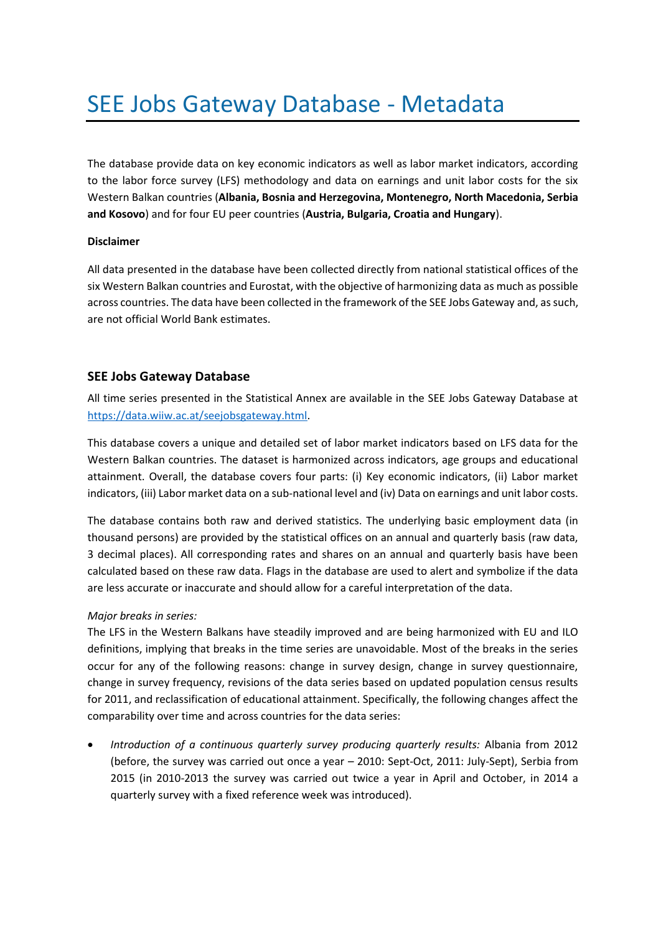# SEE Jobs Gateway Database - Metadata

The database provide data on key economic indicators as well as labor market indicators, according to the labor force survey (LFS) methodology and data on earnings and unit labor costs for the six Western Balkan countries (**Albania, Bosnia and Herzegovina, Montenegro, North Macedonia, Serbia and Kosovo**) and for four EU peer countries (**Austria, Bulgaria, Croatia and Hungary**).

# **Disclaimer**

All data presented in the database have been collected directly from national statistical offices of the six Western Balkan countries and Eurostat, with the objective of harmonizing data as much as possible across countries. The data have been collected in the framework of the SEE Jobs Gateway and, as such, are not official World Bank estimates.

# **SEE Jobs Gateway Database**

All time series presented in the Statistical Annex are available in the SEE Jobs Gateway Database at [https://data.wiiw.ac.at/seejobsgateway.html.](https://data.wiiw.ac.at/seejobsgateway.html)

This database covers a unique and detailed set of labor market indicators based on LFS data for the Western Balkan countries. The dataset is harmonized across indicators, age groups and educational attainment. Overall, the database covers four parts: (i) Key economic indicators, (ii) Labor market indicators, (iii) Labor market data on a sub-national level and (iv) Data on earnings and unit labor costs.

The database contains both raw and derived statistics. The underlying basic employment data (in thousand persons) are provided by the statistical offices on an annual and quarterly basis (raw data, 3 decimal places). All corresponding rates and shares on an annual and quarterly basis have been calculated based on these raw data. Flags in the database are used to alert and symbolize if the data are less accurate or inaccurate and should allow for a careful interpretation of the data.

# *Major breaks in series:*

The LFS in the Western Balkans have steadily improved and are being harmonized with EU and ILO definitions, implying that breaks in the time series are unavoidable. Most of the breaks in the series occur for any of the following reasons: change in survey design, change in survey questionnaire, change in survey frequency, revisions of the data series based on updated population census results for 2011, and reclassification of educational attainment. Specifically, the following changes affect the comparability over time and across countries for the data series:

• *Introduction of a continuous quarterly survey producing quarterly results:* Albania from 2012 (before, the survey was carried out once a year – 2010: Sept-Oct, 2011: July-Sept), Serbia from 2015 (in 2010-2013 the survey was carried out twice a year in April and October, in 2014 a quarterly survey with a fixed reference week was introduced).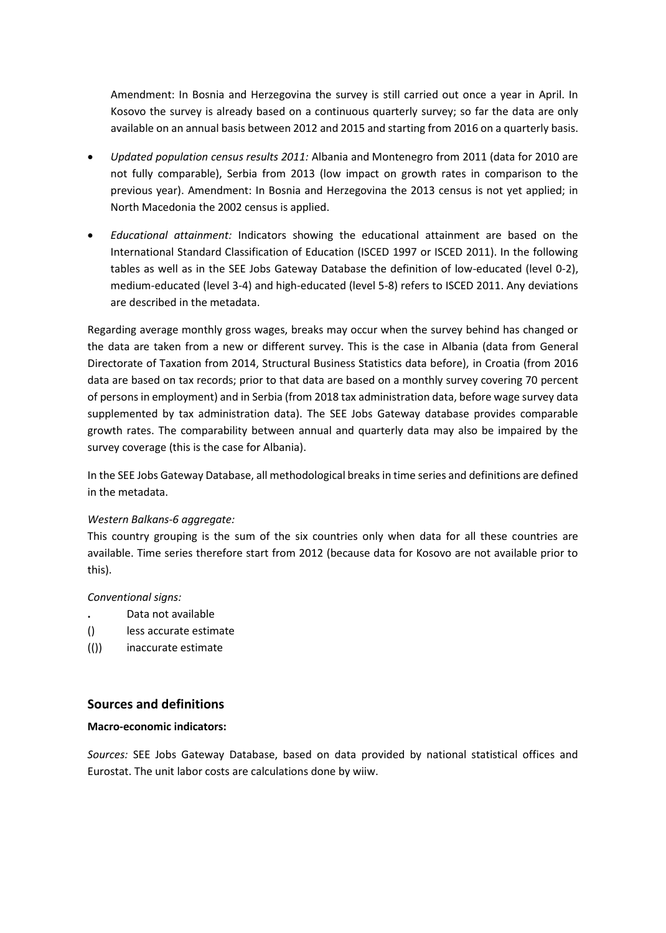Amendment: In Bosnia and Herzegovina the survey is still carried out once a year in April. In Kosovo the survey is already based on a continuous quarterly survey; so far the data are only available on an annual basis between 2012 and 2015 and starting from 2016 on a quarterly basis.

- *Updated population census results 2011:* Albania and Montenegro from 2011 (data for 2010 are not fully comparable), Serbia from 2013 (low impact on growth rates in comparison to the previous year). Amendment: In Bosnia and Herzegovina the 2013 census is not yet applied; in North Macedonia the 2002 census is applied.
- *Educational attainment:* Indicators showing the educational attainment are based on the International Standard Classification of Education (ISCED 1997 or ISCED 2011). In the following tables as well as in the SEE Jobs Gateway Database the definition of low-educated (level 0-2), medium-educated (level 3-4) and high-educated (level 5-8) refers to ISCED 2011. Any deviations are described in the metadata.

Regarding average monthly gross wages, breaks may occur when the survey behind has changed or the data are taken from a new or different survey. This is the case in Albania (data from General Directorate of Taxation from 2014, Structural Business Statistics data before), in Croatia (from 2016 data are based on tax records; prior to that data are based on a monthly survey covering 70 percent of persons in employment) and in Serbia (from 2018 tax administration data, before wage survey data supplemented by tax administration data). The SEE Jobs Gateway database provides comparable growth rates. The comparability between annual and quarterly data may also be impaired by the survey coverage (this is the case for Albania).

In the SEE Jobs Gateway Database, all methodological breaks in time series and definitions are defined in the metadata.

# *Western Balkans-6 aggregate:*

This country grouping is the sum of the six countries only when data for all these countries are available. Time series therefore start from 2012 (because data for Kosovo are not available prior to this).

#### *Conventional signs:*

- **.** Data not available
- () less accurate estimate
- (()) inaccurate estimate

# **Sources and definitions**

#### **Macro-economic indicators:**

*Sources:* SEE Jobs Gateway Database, based on data provided by national statistical offices and Eurostat. The unit labor costs are calculations done by wiiw.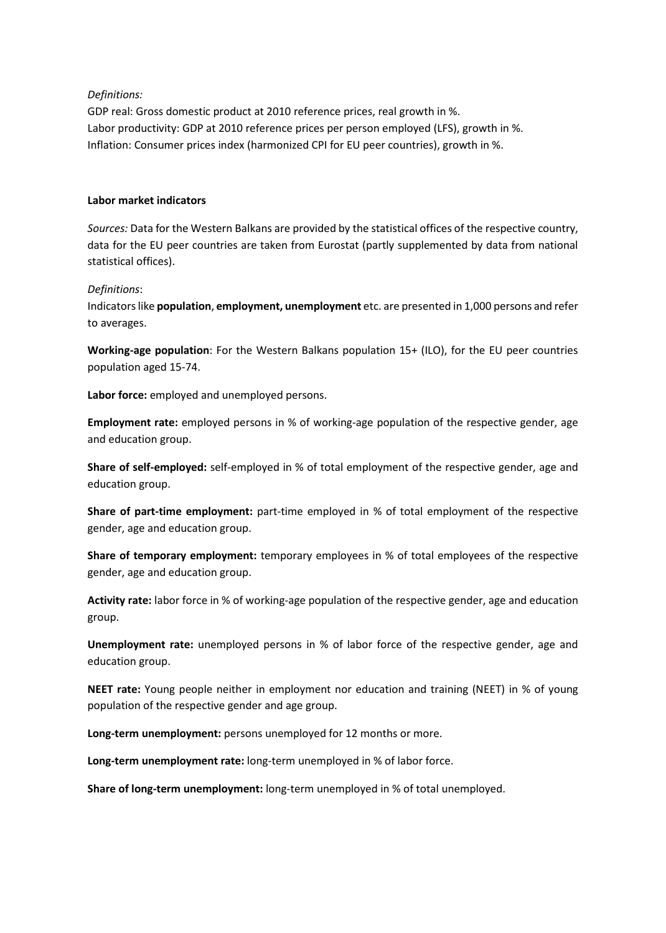# *Definitions:*

GDP real: Gross domestic product at 2010 reference prices, real growth in %. Labor productivity: GDP at 2010 reference prices per person employed (LFS), growth in %. Inflation: Consumer prices index (harmonized CPI for EU peer countries), growth in %.

## **Labor market indicators**

*Sources:* Data for the Western Balkans are provided by the statistical offices of the respective country, data for the EU peer countries are taken from Eurostat (partly supplemented by data from national statistical offices).

## *Definitions*:

Indicators like **population**, **employment, unemployment** etc. are presented in 1,000 persons and refer to averages.

**Working-age population**: For the Western Balkans population 15+ (ILO), for the EU peer countries population aged 15-74.

**Labor force:** employed and unemployed persons.

**Employment rate:** employed persons in % of working-age population of the respective gender, age and education group.

**Share of self-employed:** self-employed in % of total employment of the respective gender, age and education group.

**Share of part-time employment:** part-time employed in % of total employment of the respective gender, age and education group.

**Share of temporary employment:** temporary employees in % of total employees of the respective gender, age and education group.

**Activity rate:** labor force in % of working-age population of the respective gender, age and education group.

**Unemployment rate:** unemployed persons in % of labor force of the respective gender, age and education group.

**NEET rate:** Young people neither in employment nor education and training (NEET) in % of young population of the respective gender and age group.

**Long-term unemployment:** persons unemployed for 12 months or more.

**Long-term unemployment rate:** long-term unemployed in % of labor force.

**Share of long-term unemployment:** long-term unemployed in % of total unemployed.